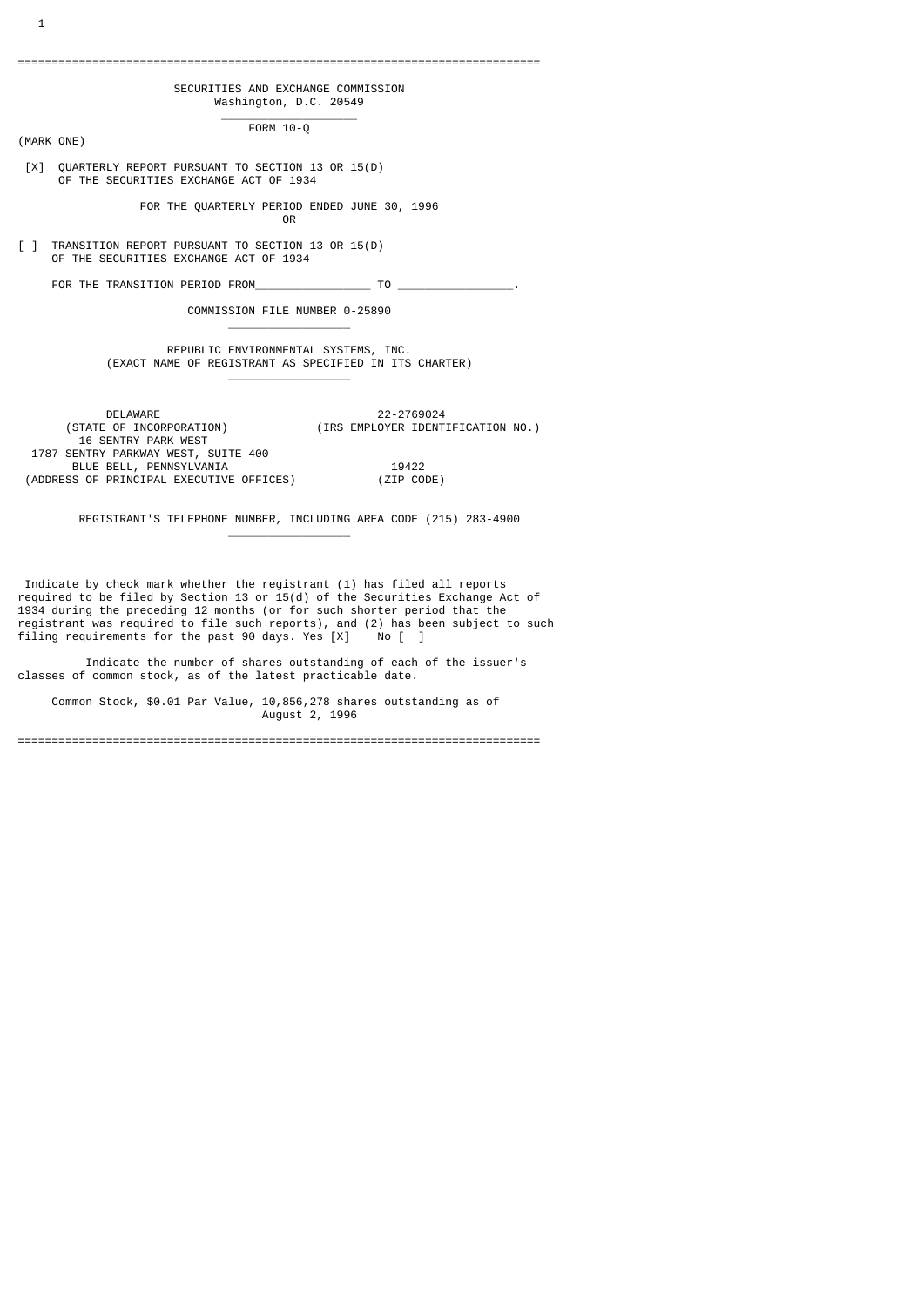# =============================================================================

# SECURITIES AND EXCHANGE COMMISSION Washington, D.C. 20549

 \_\_\_\_\_\_\_\_\_\_\_\_\_\_\_\_\_\_\_\_ FORM 10-Q

(MARK ONE)

 [X] QUARTERLY REPORT PURSUANT TO SECTION 13 OR 15(D) OF THE SECURITIES EXCHANGE ACT OF 1934

 FOR THE QUARTERLY PERIOD ENDED JUNE 30, 1996 **OR OR OR** 

[ ] TRANSITION REPORT PURSUANT TO SECTION 13 OR 15(D) OF THE SECURITIES EXCHANGE ACT OF 1934

\_\_\_\_\_\_\_\_\_\_\_\_\_\_\_\_\_\_

\_\_\_\_\_\_\_\_\_\_\_\_\_\_\_\_\_\_

\_\_\_\_\_\_\_\_\_\_\_\_\_\_\_\_\_\_

FOR THE TRANSITION PERIOD FROM TO TO

COMMISSION FILE NUMBER 0-25890

# REPUBLIC ENVIRONMENTAL SYSTEMS, INC. (EXACT NAME OF REGISTRANT AS SPECIFIED IN ITS CHARTER)

DELAWARE 22-2769024<br>(STATE OF INCORPORATION) (IRS EMPLOYER IDENT) (STATE OF INCORPORATION) (IRS EMPLOYER IDENTIFICATION NO.) 16 SENTRY PARK WEST 1787 SENTRY PARKWAY WEST, SUITE 400 BLUE BELL, PENNSYLVANIA 19422 (ADDRESS OF PRINCIPAL EXECUTIVE OFFICES) (ZIP CODE)

REGISTRANT'S TELEPHONE NUMBER, INCLUDING AREA CODE (215) 283-4900

 Indicate by check mark whether the registrant (1) has filed all reports required to be filed by Section 13 or 15(d) of the Securities Exchange Act of 1934 during the preceding 12 months (or for such shorter period that the registrant was required to file such reports), and (2) has been subject to such filing requirements for the past 90 days. Yes [X] No [ ]

 Indicate the number of shares outstanding of each of the issuer's classes of common stock, as of the latest practicable date.

 Common Stock, \$0.01 Par Value, 10,856,278 shares outstanding as of August 2, 1996

=============================================================================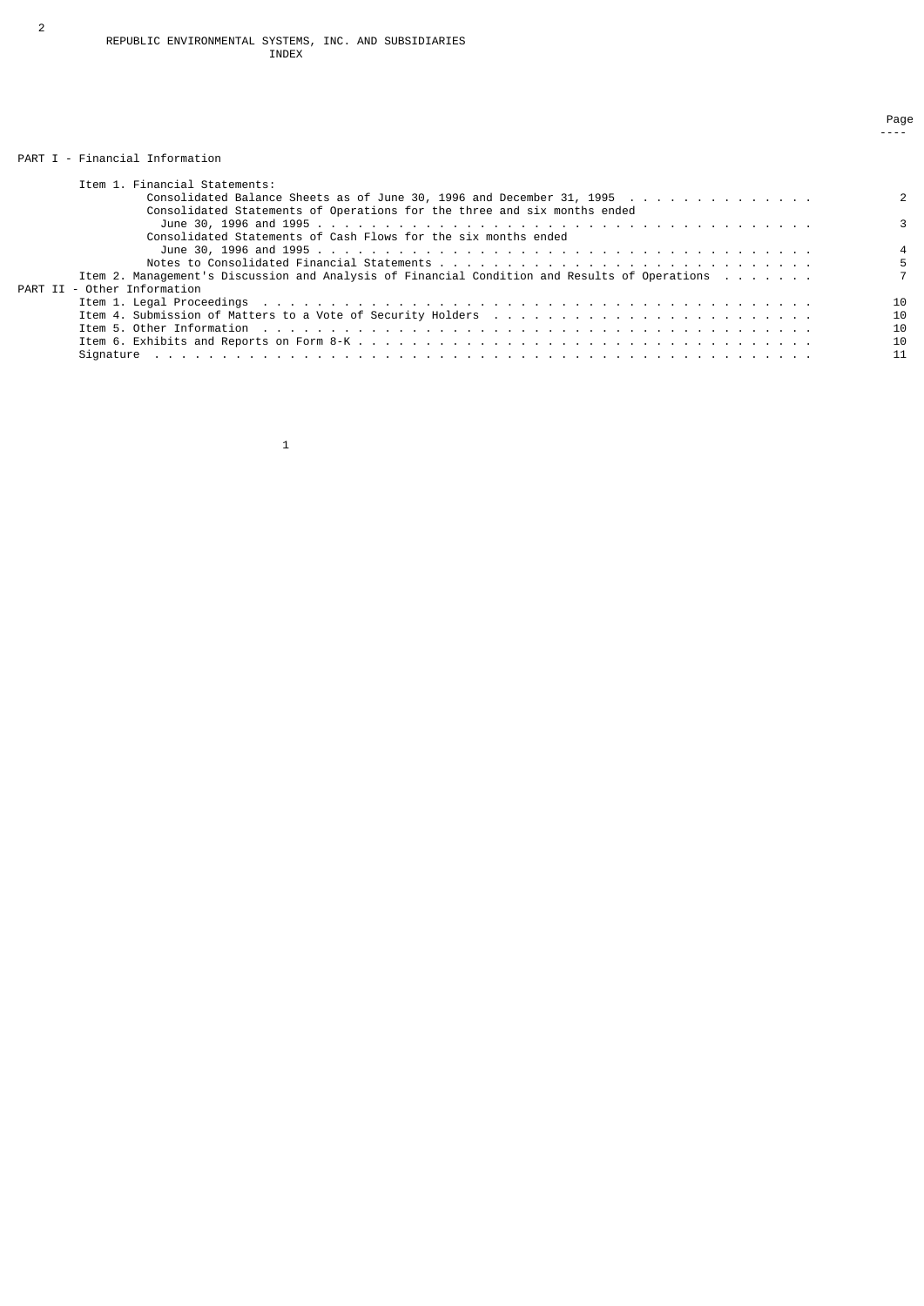# PART I - Financial Information

| Item 1. Financial Statements:                                                                                                                                                                                                  |    |
|--------------------------------------------------------------------------------------------------------------------------------------------------------------------------------------------------------------------------------|----|
| Consolidated Balance Sheets as of June 30, 1996 and December 31, 1995                                                                                                                                                          |    |
| Consolidated Statements of Operations for the three and six months ended                                                                                                                                                       |    |
|                                                                                                                                                                                                                                |    |
| Consolidated Statements of Cash Flows for the six months ended                                                                                                                                                                 |    |
|                                                                                                                                                                                                                                |    |
|                                                                                                                                                                                                                                |    |
| Item 2. Management's Discussion and Analysis of Financial Condition and Results of Operations                                                                                                                                  |    |
| PART II - Other Information                                                                                                                                                                                                    |    |
| Item 1. Legal Proceedings research research research research research research research research research res                                                                                                                 | 10 |
| Item 4. Submission of Matters to a Vote of Security Holders                                                                                                                                                                    | 10 |
| Item 5. Other Information the state of the state of the state of the state of the state of the state of the state of the state of the state of the state of the state of the state of the state of the state of the state of t | 10 |
|                                                                                                                                                                                                                                | 10 |
|                                                                                                                                                                                                                                | 11 |

en de la provincia de la provincia de la provincia de la provincia de la provincia de la provincia de la provi ----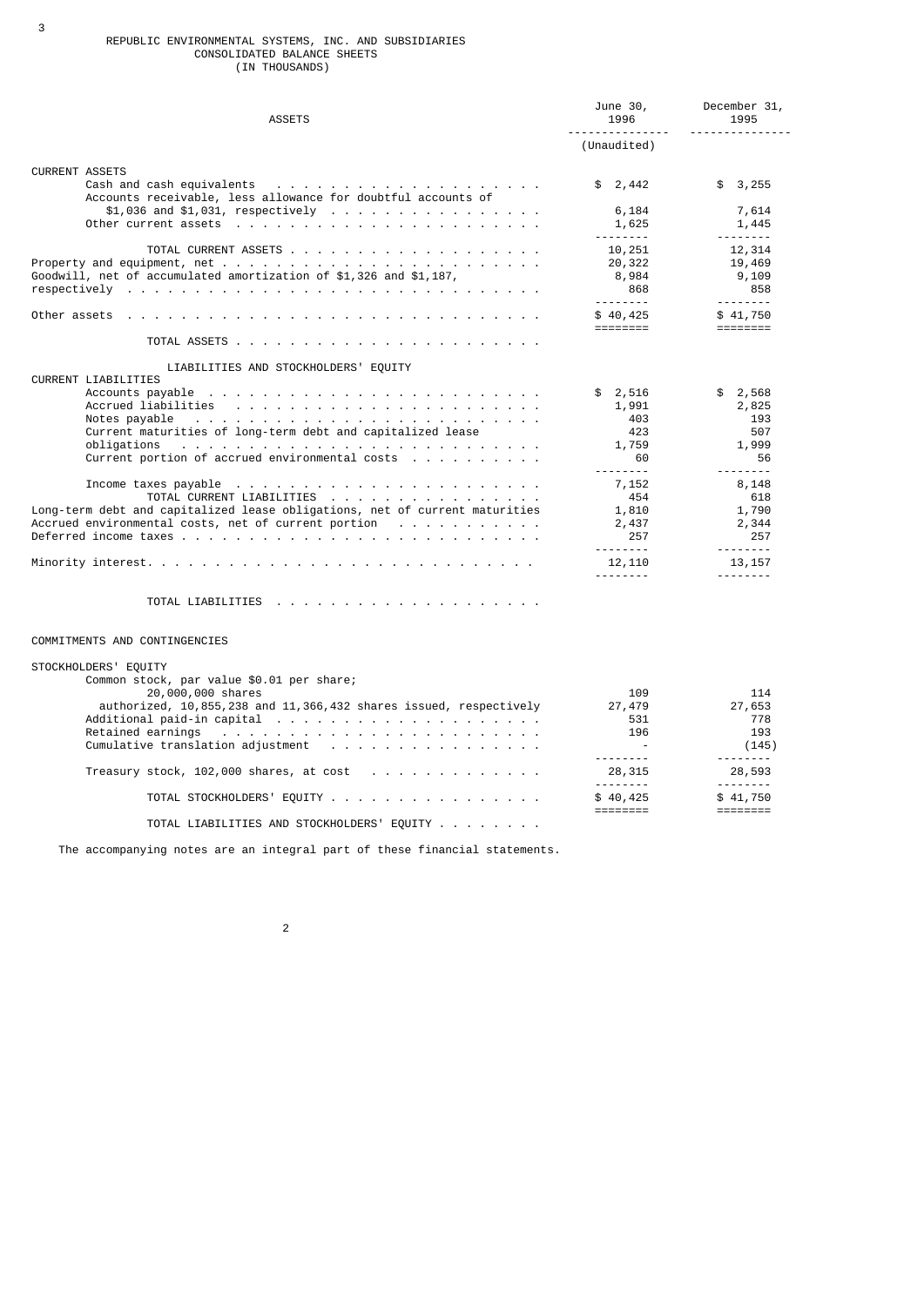### REPUBLIC ENVIRONMENTAL SYSTEMS, INC. AND SUBSIDIARIES CONSOLIDATED BALANCE SHEETS (IN THOUSANDS)

| <b>ASSETS</b>                                                                                                                                                                                                                                 | June 30,<br>1996                      | December 31,<br>1995                                               |
|-----------------------------------------------------------------------------------------------------------------------------------------------------------------------------------------------------------------------------------------------|---------------------------------------|--------------------------------------------------------------------|
|                                                                                                                                                                                                                                               | (Unaudited)                           |                                                                    |
| <b>CURRENT ASSETS</b>                                                                                                                                                                                                                         |                                       |                                                                    |
| Accounts receivable, less allowance for doubtful accounts of                                                                                                                                                                                  | \$2,442                               | \$3,255                                                            |
|                                                                                                                                                                                                                                               | 6,184<br>1,625<br><u>.</u>            | 7,614<br>1,445<br><u> - - - - - - - -</u>                          |
| Goodwill, net of accumulated amortization of \$1,326 and \$1,187,                                                                                                                                                                             | 10,251<br>20,322<br>8,984             | 12,314<br>19,469<br>9,109                                          |
|                                                                                                                                                                                                                                               | 868<br>.                              | 858<br>---------                                                   |
|                                                                                                                                                                                                                                               | \$40,425<br>========                  | \$41,750<br>========                                               |
|                                                                                                                                                                                                                                               |                                       |                                                                    |
| LIABILITIES AND STOCKHOLDERS' EQUITY<br><b>CURRENT LIABILITIES</b>                                                                                                                                                                            |                                       |                                                                    |
| Notes pavable<br>Current maturities of long-term debt and capitalized lease                                                                                                                                                                   | \$2,516<br>1,991<br>403<br>423        | \$2,568<br>2,825<br>193<br>507                                     |
| obligations<br>and the contract of the contract of the contract of the contract of the contract of the contract of the contract of the contract of the contract of the contract of the contract of the contract of the contract of the contra | 1,759<br>60<br>---------              | 1,999<br>56<br>--------                                            |
| TOTAL CURRENT LIABILITIES<br>Long-term debt and capitalized lease obligations, net of current maturities<br>Accrued environmental costs, net of current portion $\cdots$ , $\cdots$ , $\cdots$ , $\cdots$                                     | 7,152<br>454<br>1,810<br>2,437<br>257 | 8,148<br>618<br>1,790<br>2,344<br>- 257<br><u> - - - - - - - -</u> |
|                                                                                                                                                                                                                                               | 12,110<br><u>.</u>                    | 13, 157<br>.                                                       |
|                                                                                                                                                                                                                                               |                                       |                                                                    |

# COMMITMENTS AND CONTINGENCIES

3

| STOCKHOLDERS' EQUITY                                              |          |          |
|-------------------------------------------------------------------|----------|----------|
| Common stock, par value \$0.01 per share;                         |          |          |
| 20,000,000 shares                                                 | 109      | 114      |
| authorized, 10,855,238 and 11,366,432 shares issued, respectively | 27,479   | 27,653   |
|                                                                   | 531      | 778      |
|                                                                   | 196      | 193      |
|                                                                   |          | (145)    |
|                                                                   |          |          |
|                                                                   | 28,315   | 28,593   |
|                                                                   |          |          |
| TOTAL STOCKHOLDERS' EQUITY                                        | \$40,425 | \$41,750 |
|                                                                   |          |          |
| TOTAL LIABILITIES AND STOCKHOLDERS' EQUITY                        |          |          |

The accompanying notes are an integral part of these financial statements.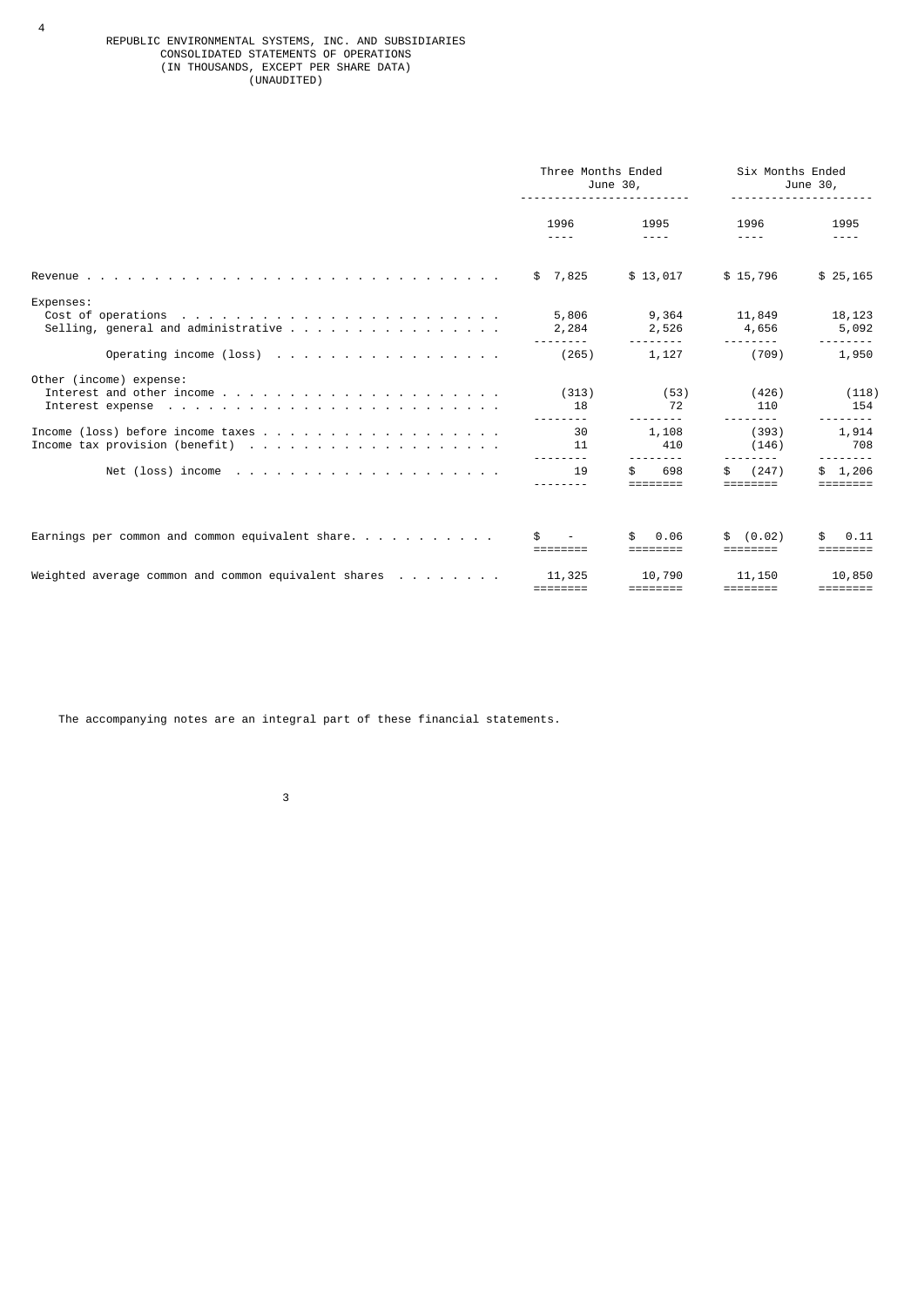#### REPUBLIC ENVIRONMENTAL SYSTEMS, INC. AND SUBSIDIARIES CONSOLIDATED STATEMENTS OF OPERATIONS (IN THOUSANDS, EXCEPT PER SHARE DATA) (UNAUDITED)

|                                                                               | Three Months Ended<br>June 30, |                                       | Six Months Ended<br>June 30,          |                                       |
|-------------------------------------------------------------------------------|--------------------------------|---------------------------------------|---------------------------------------|---------------------------------------|
|                                                                               | 1996<br>$- - - -$              | 1995<br>$- - - -$                     | 1996<br>$- - - -$                     | 1995<br>$- - - -$                     |
|                                                                               | \$7,825                        | \$13,017                              | \$15,796                              | \$25,165                              |
| Expenses:                                                                     | 5,806<br>2,284                 | 9,364<br>2,526                        | 11,849<br>4,656                       | 18,123<br>5,092                       |
| Operating income (loss) $\cdots$ $\cdots$ $\cdots$ $\cdots$ $\cdots$ $\cdots$ | (265)                          | $- - - - - - -$<br>1,127              | (709)                                 | 1,950                                 |
| Other (income) expense:                                                       | (313)<br>18                    | (53)<br>72                            | (426)<br>110                          | (118)<br>154                          |
|                                                                               | 30<br>11                       | 1,108<br>410                          | (393)<br>(146)                        | 1,914<br>708                          |
|                                                                               | $- - - - - - -$<br>19          | 698<br>\$.                            | $- - - -$<br>(247)<br>\$.             | 1,206<br>\$                           |
|                                                                               |                                | 0.06                                  | (0.02)                                | 0.11                                  |
| Weighted average common and common equivalent shares $\dots$                  | 11,325                         | 10,790<br>$=$ $=$ $=$ $=$ $=$ $=$ $=$ | 11,150<br>$=$ $=$ $=$ $=$ $=$ $=$ $=$ | 10,850<br>$=$ $=$ $=$ $=$ $=$ $=$ $=$ |

The accompanying notes are an integral part of these financial statements.

3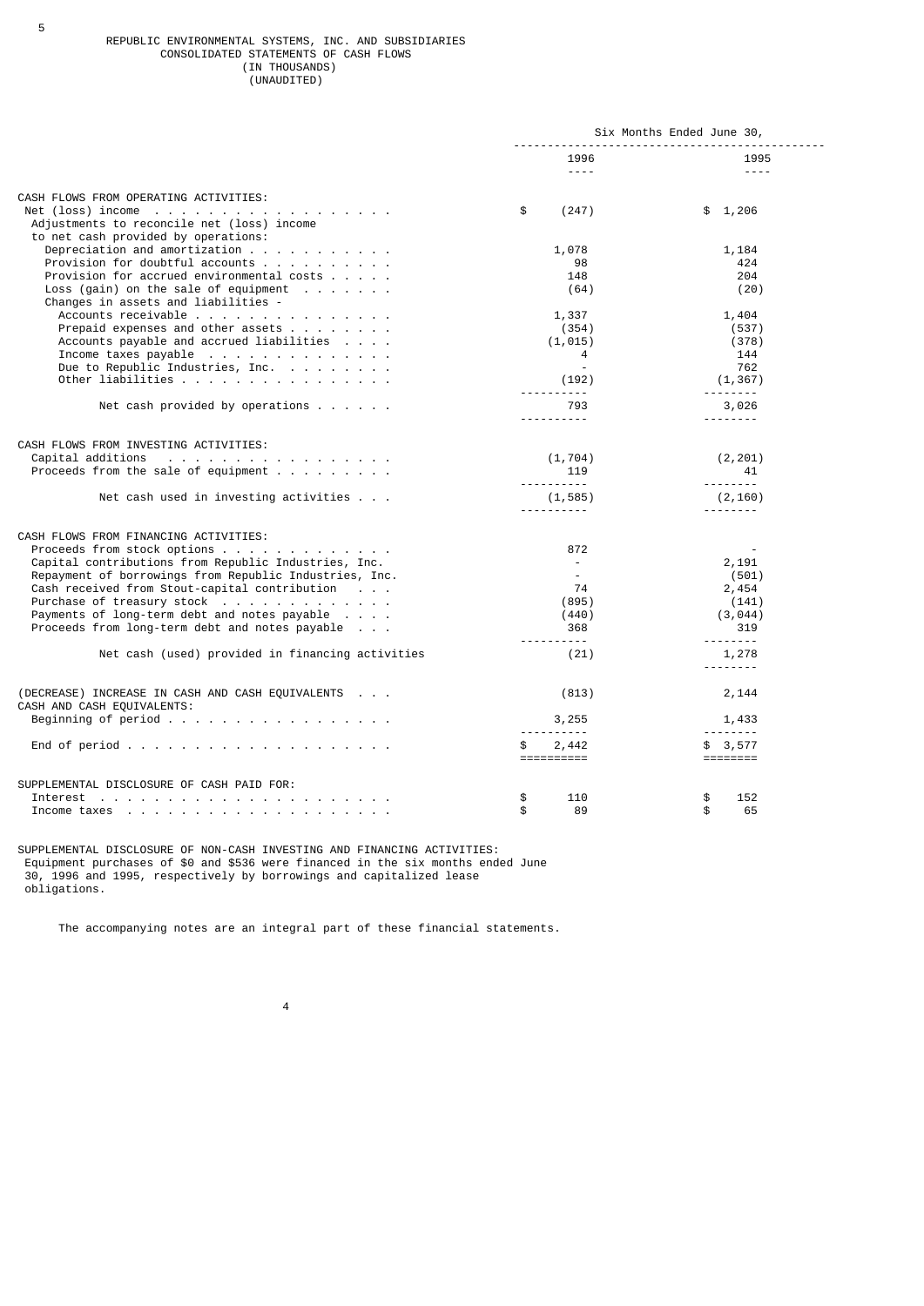#### REPUBLIC ENVIRONMENTAL SYSTEMS, INC. AND SUBSIDIARIES CONSOLIDATED STATEMENTS OF CASH FLOWS (IN THOUSANDS) (UNAUDITED)

|                                                                                                                                                                                |                             | Six Months Ended June 30, |
|--------------------------------------------------------------------------------------------------------------------------------------------------------------------------------|-----------------------------|---------------------------|
|                                                                                                                                                                                | 1996<br>$- - - - -$         | 1995<br>$- - - - -$       |
| CASH FLOWS FROM OPERATING ACTIVITIES:                                                                                                                                          |                             |                           |
| Net (loss) income $\ldots$ $\ldots$ $\ldots$ $\ldots$ $\ldots$ $\ldots$ $\ldots$ $\ldots$<br>Adjustments to reconcile net (loss) income<br>to net cash provided by operations: | \$<br>(247)                 | \$1,206                   |
| Depreciation and amortization $\cdots$ $\cdots$ $\cdots$ $\cdots$                                                                                                              | 1,078                       | 1,184                     |
| Provision for doubtful accounts                                                                                                                                                | 98                          | 424                       |
| Provision for accrued environmental costs                                                                                                                                      | 148                         | 204                       |
| Loss (gain) on the sale of equipment $\ldots$                                                                                                                                  | (64)                        | (20)                      |
| Changes in assets and liabilities -                                                                                                                                            |                             |                           |
| Accounts receivable                                                                                                                                                            | 1,337                       | 1,404                     |
| Prepaid expenses and other assets $\cdots$                                                                                                                                     | (354)                       | (537)                     |
| Accounts payable and accrued liabilities                                                                                                                                       | (1, 015)                    | (378)                     |
| Income taxes payable                                                                                                                                                           | 4                           | 144                       |
| Due to Republic Industries, Inc.                                                                                                                                               |                             | 762                       |
| Other liabilities                                                                                                                                                              | (192)                       | (1, 367)                  |
|                                                                                                                                                                                | <u> - - - - - - - - - -</u> |                           |
| Net cash provided by operations $\ldots$                                                                                                                                       | 793                         | 3,026                     |
|                                                                                                                                                                                | <u>.</u>                    | .                         |
| CASH FLOWS FROM INVESTING ACTIVITIES:                                                                                                                                          |                             |                           |
| Capital additions                                                                                                                                                              | (1, 704)                    | (2, 201)                  |
| Proceeds from the sale of equipment $\cdots$ ,                                                                                                                                 | 119                         | 41                        |
|                                                                                                                                                                                | .                           | .                         |
| Net cash used in investing activities                                                                                                                                          | (1, 585)                    | (2, 160)                  |
|                                                                                                                                                                                | <u> - - - - - - - - -</u>   | <u>.</u>                  |
|                                                                                                                                                                                |                             |                           |
| CASH FLOWS FROM FINANCING ACTIVITIES:                                                                                                                                          |                             |                           |
| Proceeds from stock options                                                                                                                                                    | 872                         |                           |
| Capital contributions from Republic Industries, Inc.                                                                                                                           | $\sim$                      | 2,191                     |
| Repayment of borrowings from Republic Industries, Inc.                                                                                                                         | $\sim$                      | (501)                     |
| Cash received from Stout-capital contribution                                                                                                                                  | 74                          | 2,454                     |
| Purchase of treasury stock                                                                                                                                                     | (895)                       | (141)                     |
| Payments of long-term debt and notes payable                                                                                                                                   | (440)                       | (3, 044)                  |
| Proceeds from long-term debt and notes payable                                                                                                                                 | 368                         | 319                       |
|                                                                                                                                                                                | <u> - - - - - - - - - -</u> | . <b>.</b>                |
| Net cash (used) provided in financing activities                                                                                                                               | (21)                        | 1,278<br><u>.</u>         |
|                                                                                                                                                                                |                             |                           |
| (DECREASE) INCREASE IN CASH AND CASH EQUIVALENTS                                                                                                                               | (813)                       | 2,144                     |
| CASH AND CASH EQUIVALENTS:                                                                                                                                                     |                             |                           |
| Beginning of period                                                                                                                                                            | 3,255                       | 1,433                     |
|                                                                                                                                                                                |                             | <u> - - - - - - - -</u>   |
|                                                                                                                                                                                | \$<br>2,442                 | \$3,577                   |
|                                                                                                                                                                                | ==========                  | ========                  |
|                                                                                                                                                                                |                             |                           |
| SUPPLEMENTAL DISCLOSURE OF CASH PAID FOR:                                                                                                                                      |                             |                           |
|                                                                                                                                                                                | 110<br>\$                   | \$<br>152                 |
|                                                                                                                                                                                | \$<br>89                    | \$<br>65                  |

SUPPLEMENTAL DISCLOSURE OF NON-CASH INVESTING AND FINANCING ACTIVITIES: Equipment purchases of \$0 and \$536 were financed in the six months ended June 30, 1996 and 1995, respectively by borrowings and capitalized lease obligations.

4

The accompanying notes are an integral part of these financial statements.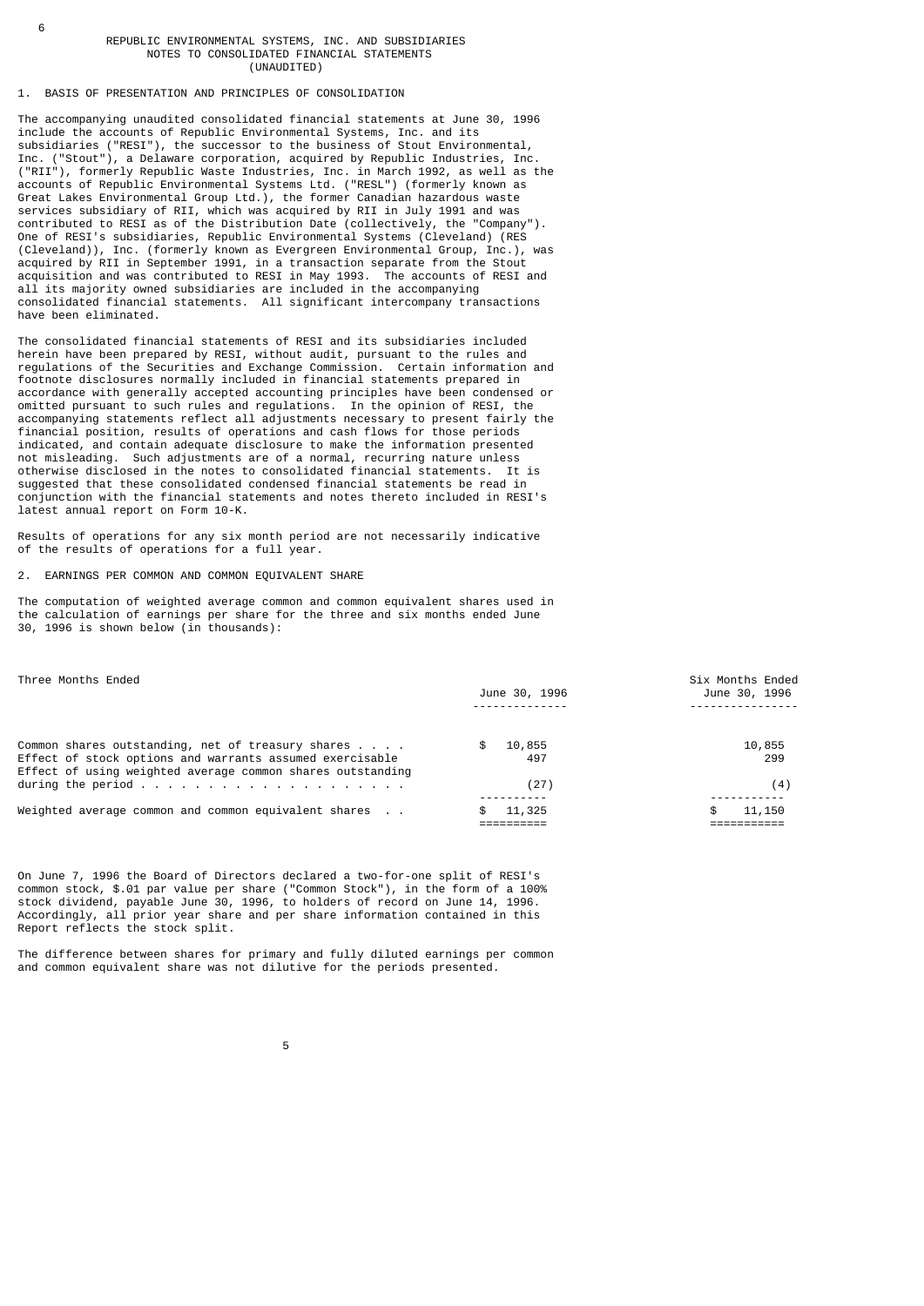#### REPUBLIC ENVIRONMENTAL SYSTEMS, INC. AND SUBSIDIARIES NOTES TO CONSOLIDATED FINANCIAL STATEMENTS (UNAUDITED)

# 1. BASIS OF PRESENTATION AND PRINCIPLES OF CONSOLIDATION

6

The accompanying unaudited consolidated financial statements at June 30, 1996 include the accounts of Republic Environmental Systems, Inc. and its subsidiaries ("RESI"), the successor to the business of Stout Environmental, Inc. ("Stout"), a Delaware corporation, acquired by Republic Industries, Inc. ("RII"), formerly Republic Waste Industries, Inc. in March 1992, as well as the accounts of Republic Environmental Systems Ltd. ("RESL") (formerly known as Great Lakes Environmental Group Ltd.), the former Canadian hazardous waste services subsidiary of RII, which was acquired by RII in July 1991 and was contributed to RESI as of the Distribution Date (collectively, the "Company"). One of RESI's subsidiaries, Republic Environmental Systems (Cleveland) (RES (Cleveland)), Inc. (formerly known as Evergreen Environmental Group, Inc.), was acquired by RII in September 1991, in a transaction separate from the Stout acquisition and was contributed to RESI in May 1993. The accounts of RESI and all its majority owned subsidiaries are included in the accompanying consolidated financial statements. All significant intercompany transactions have been eliminated.

The consolidated financial statements of RESI and its subsidiaries included herein have been prepared by RESI, without audit, pursuant to the rules and regulations of the Securities and Exchange Commission. Certain information and footnote disclosures normally included in financial statements prepared in accordance with generally accepted accounting principles have been condensed or omitted pursuant to such rules and regulations. In the opinion of RESI, the accompanying statements reflect all adjustments necessary to present fairly the financial position, results of operations and cash flows for those periods indicated, and contain adequate disclosure to make the information presented not misleading. Such adjustments are of a normal, recurring nature unless otherwise disclosed in the notes to consolidated financial statements. It is suggested that these consolidated condensed financial statements be read in conjunction with the financial statements and notes thereto included in RESI's latest annual report on Form 10-K.

Results of operations for any six month period are not necessarily indicative of the results of operations for a full year.

## 2. EARNINGS PER COMMON AND COMMON EQUIVALENT SHARE

The computation of weighted average common and common equivalent shares used in the calculation of earnings per share for the three and six months ended June 30, 1996 is shown below (in thousands):

| Three Months Ended                                                                                                     | June 30, 1996 | Six Months Ended<br>June 30, 1996 |  |
|------------------------------------------------------------------------------------------------------------------------|---------------|-----------------------------------|--|
|                                                                                                                        |               |                                   |  |
| Common shares outstanding, net of treasury shares                                                                      | 10,855<br>\$  | 10,855                            |  |
| Effect of stock options and warrants assumed exercisable<br>Effect of using weighted average common shares outstanding | 497           | 299                               |  |
| during the period $\ldots$                                                                                             | (27)          | (4)                               |  |
| Weighted average common and common equivalent shares                                                                   | 11,325<br>\$  | 11,150<br>\$.                     |  |

On June 7, 1996 the Board of Directors declared a two-for-one split of RESI's common stock, \$.01 par value per share ("Common Stock"), in the form of a 100% stock dividend, payable June 30, 1996, to holders of record on June 14, 1996. Accordingly, all prior year share and per share information contained in this Report reflects the stock split.

The difference between shares for primary and fully diluted earnings per common and common equivalent share was not dilutive for the periods presented.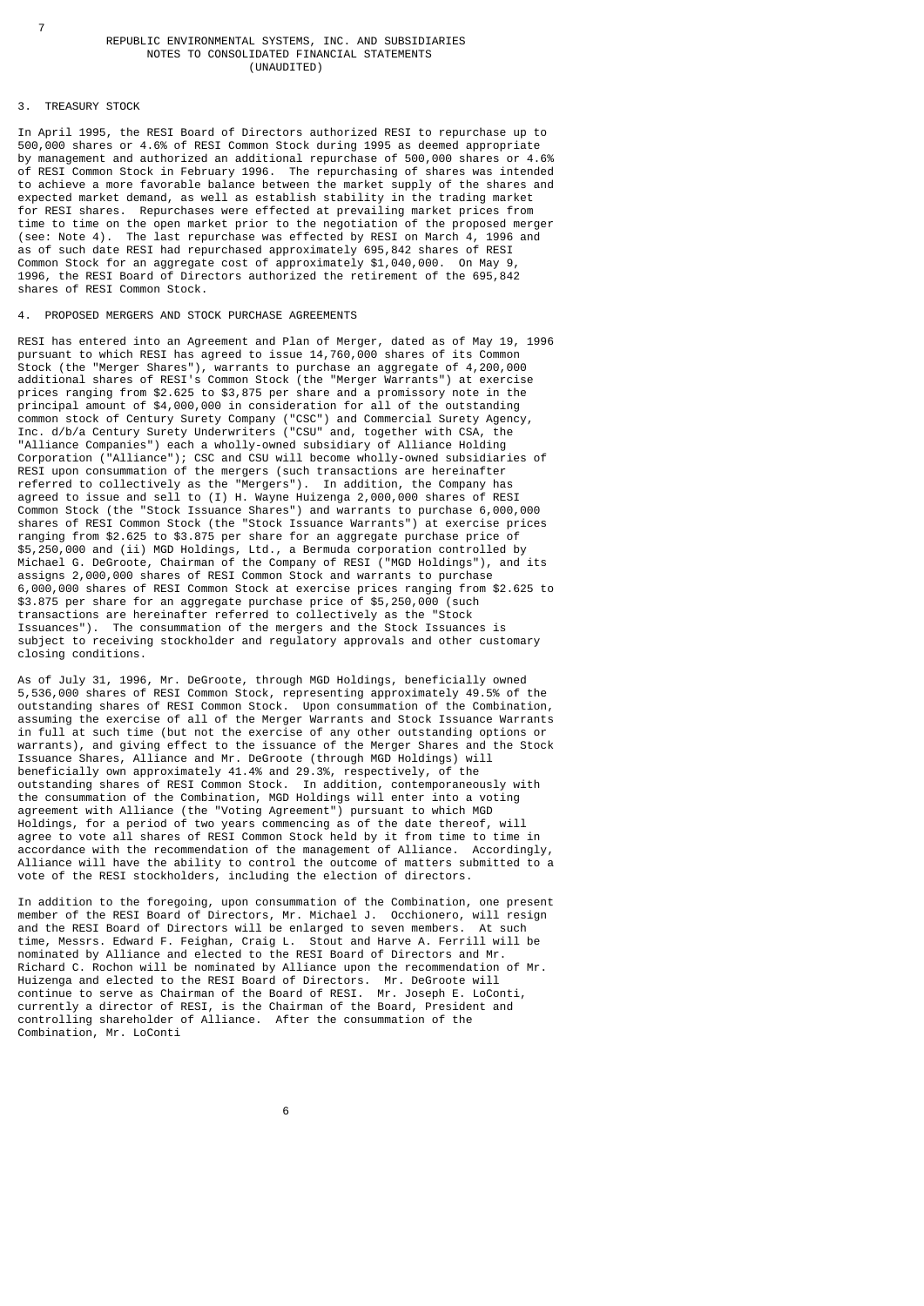### REPUBLIC ENVIRONMENTAL SYSTEMS, INC. AND SUBSIDIARIES NOTES TO CONSOLIDATED FINANCIAL STATEMENTS (UNAUDITED)

#### 3. TREASURY STOCK

In April 1995, the RESI Board of Directors authorized RESI to repurchase up to 500,000 shares or 4.6% of RESI Common Stock during 1995 as deemed appropriate by management and authorized an additional repurchase of 500,000 shares or 4.6% of RESI Common Stock in February 1996. The repurchasing of shares was intended to achieve a more favorable balance between the market supply of the shares and expected market demand, as well as establish stability in the trading market for RESI shares. Repurchases were effected at prevailing market prices from time to time on the open market prior to the negotiation of the proposed merger (see: Note 4). The last repurchase was effected by RESI on March 4, 1996 and as of such date RESI had repurchased approximately 695,842 shares of RESI Common Stock for an aggregate cost of approximately \$1,040,000. On May 9, 1996, the RESI Board of Directors authorized the retirement of the 695,842 shares of RESI Common Stock.

# 4. PROPOSED MERGERS AND STOCK PURCHASE AGREEMENTS

RESI has entered into an Agreement and Plan of Merger, dated as of May 19, 1996 pursuant to which RESI has agreed to issue 14,760,000 shares of its Common Stock (the "Merger Shares"), warrants to purchase an aggregate of 4,200,000 additional shares of RESI's Common Stock (the "Merger Warrants") at exercise prices ranging from \$2.625 to \$3,875 per share and a promissory note in the principal amount of \$4,000,000 in consideration for all of the outstanding common stock of Century Surety Company ("CSC") and Commercial Surety Agency, Inc. d/b/a Century Surety Underwriters ("CSU" and, together with CSA, the "Alliance Companies") each a wholly-owned subsidiary of Alliance Holding Corporation ("Alliance"); CSC and CSU will become wholly-owned subsidiaries of RESI upon consummation of the mergers (such transactions are hereinafter referred to collectively as the "Mergers"). In addition, the Company has agreed to issue and sell to (I) H. Wayne Huizenga 2,000,000 shares of RESI Common Stock (the "Stock Issuance Shares") and warrants to purchase 6,000,000 shares of RESI Common Stock (the "Stock Issuance Warrants") at exercise prices ranging from \$2.625 to \$3.875 per share for an aggregate purchase price of \$5,250,000 and (ii) MGD Holdings, Ltd., a Bermuda corporation controlled by Michael G. DeGroote, Chairman of the Company of RESI ("MGD Holdings"), and its assigns 2,000,000 shares of RESI Common Stock and warrants to purchase 6,000,000 shares of RESI Common Stock at exercise prices ranging from \$2.625 to \$3.875 per share for an aggregate purchase price of \$5,250,000 (such transactions are hereinafter referred to collectively as the "Stock Issuances"). The consummation of the mergers and the Stock Issuances is subject to receiving stockholder and regulatory approvals and other customary closing conditions.

As of July 31, 1996, Mr. DeGroote, through MGD Holdings, beneficially owned 5,536,000 shares of RESI Common Stock, representing approximately 49.5% of the outstanding shares of RESI Common Stock. Upon consummation of the Combination, assuming the exercise of all of the Merger Warrants and Stock Issuance Warrants in full at such time (but not the exercise of any other outstanding options or warrants), and giving effect to the issuance of the Merger Shares and the Stock Issuance Shares, Alliance and Mr. DeGroote (through MGD Holdings) will beneficially own approximately 41.4% and 29.3%, respectively, of the outstanding shares of RESI Common Stock. In addition, contemporaneously with the consummation of the Combination, MGD Holdings will enter into a voting agreement with Alliance (the "Voting Agreement") pursuant to which MGD Holdings, for a period of two years commencing as of the date thereof, will agree to vote all shares of RESI Common Stock held by it from time to time in accordance with the recommendation of the management of Alliance. Accordingly, Alliance will have the ability to control the outcome of matters submitted to a vote of the RESI stockholders, including the election of directors.

In addition to the foregoing, upon consummation of the Combination, one present member of the RESI Board of Directors, Mr. Michael J. Occhionero, will resign and the RESI Board of Directors will be enlarged to seven members. At such time, Messrs. Edward F. Feighan, Craig L. Stout and Harve A. Ferrill will be nominated by Alliance and elected to the RESI Board of Directors and Mr. Richard C. Rochon will be nominated by Alliance upon the recommendation of Mr. Huizenga and elected to the RESI Board of Directors. Mr. DeGroote will continue to serve as Chairman of the Board of RESI. Mr. Joseph E. LoConti, currently a director of RESI, is the Chairman of the Board, President and controlling shareholder of Alliance. After the consummation of the Combination, Mr. LoConti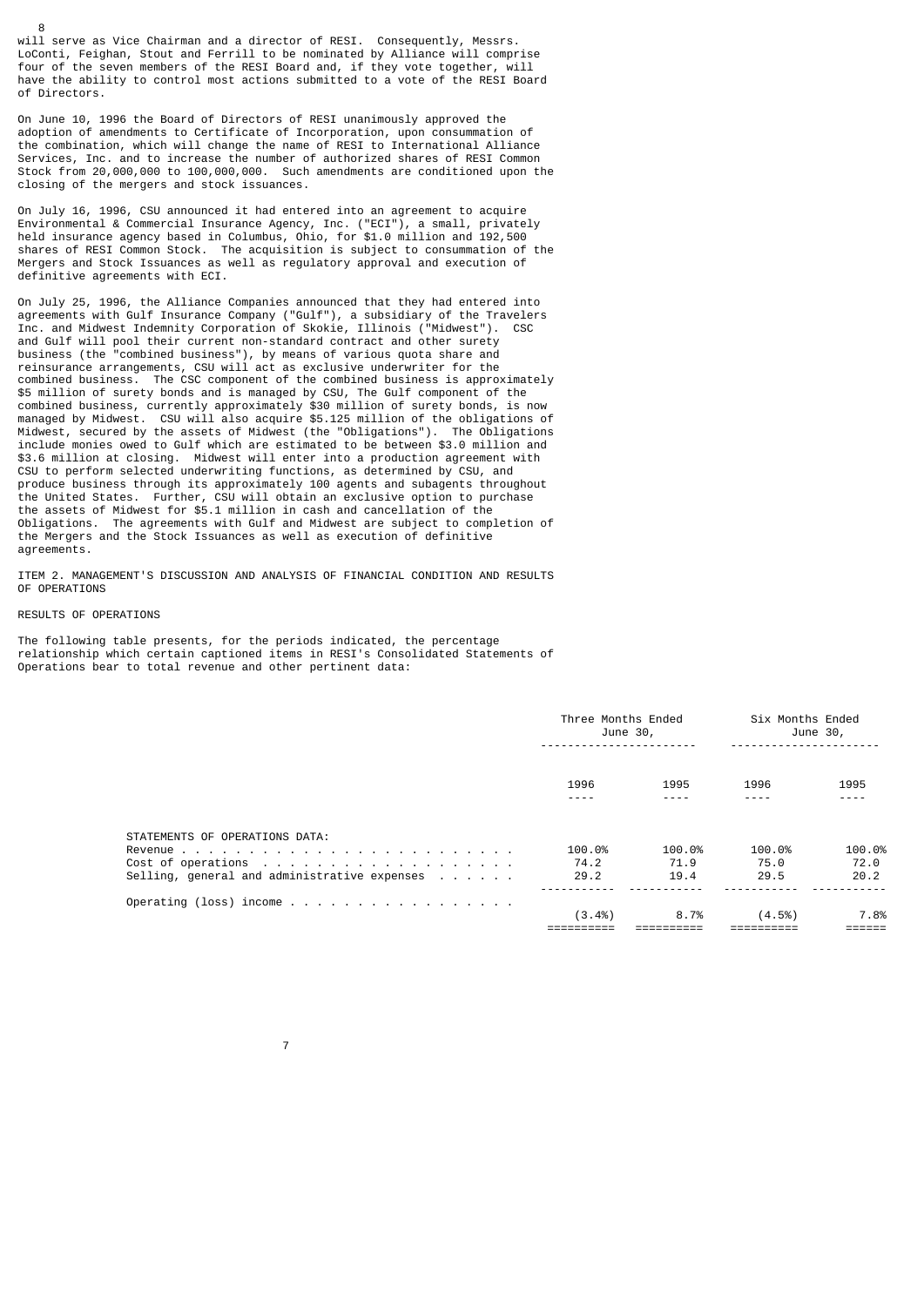will serve as Vice Chairman and a director of RESI. Consequently, Messrs. LoConti, Feighan, Stout and Ferrill to be nominated by Alliance will comprise four of the seven members of the RESI Board and, if they vote together, will have the ability to control most actions submitted to a vote of the RESI Board of Directors.

On June 10, 1996 the Board of Directors of RESI unanimously approved the adoption of amendments to Certificate of Incorporation, upon consummation of the combination, which will change the name of RESI to International Alliance Services, Inc. and to increase the number of authorized shares of RESI Common Stock from 20,000,000 to 100,000,000. Such amendments are conditioned upon the closing of the mergers and stock issuances.

On July 16, 1996, CSU announced it had entered into an agreement to acquire Environmental & Commercial Insurance Agency, Inc. ("ECI"), a small, privately held insurance agency based in Columbus, Ohio, for \$1.0 million and 192,500 shares of RESI Common Stock. The acquisition is subject to consummation of the Mergers and Stock Issuances as well as regulatory approval and execution of definitive agreements with ECI.

On July 25, 1996, the Alliance Companies announced that they had entered into agreements with Gulf Insurance Company ("Gulf"), a subsidiary of the Travelers Inc. and Midwest Indemnity Corporation of Skokie, Illinois ("Midwest"). CSC and Gulf will pool their current non-standard contract and other surety business (the "combined business"), by means of various quota share and reinsurance arrangements, CSU will act as exclusive underwriter for the combined business. The CSC component of the combined business is approximately \$5 million of surety bonds and is managed by CSU, The Gulf component of the combined business, currently approximately \$30 million of surety bonds, is now managed by Midwest. CSU will also acquire \$5.125 million of the obligations of Midwest, secured by the assets of Midwest (the "Obligations"). The Obligations include monies owed to Gulf which are estimated to be between \$3.0 million and \$3.6 million at closing. Midwest will enter into a production agreement with CSU to perform selected underwriting functions, as determined by CSU, and produce business through its approximately 100 agents and subagents throughout the United States. Further, CSU will obtain an exclusive option to purchase the assets of Midwest for \$5.1 million in cash and cancellation of the Obligations. The agreements with Gulf and Midwest are subject to completion of the Mergers and the Stock Issuances as well as execution of definitive agreements.

ITEM 2. MANAGEMENT'S DISCUSSION AND ANALYSIS OF FINANCIAL CONDITION AND RESULTS OF OPERATIONS

#### RESULTS OF OPERATIONS

8

The following table presents, for the periods indicated, the percentage relationship which certain captioned items in RESI's Consolidated Statements of Operations bear to total revenue and other pertinent data:

|                                                                                | Three Months Ended<br>June 30, |                        | Six Months Ended<br>June 30, |                        |
|--------------------------------------------------------------------------------|--------------------------------|------------------------|------------------------------|------------------------|
|                                                                                | 1996<br>----                   | 1995<br>----           | 1996<br>----                 | 1995<br>- - - -        |
| STATEMENTS OF OPERATIONS DATA:<br>Selling, general and administrative expenses | 100.0%<br>74.2<br>29.2         | 100.0%<br>71.9<br>19.4 | 100.0%<br>75.0<br>29.5       | 100.0%<br>72.0<br>20.2 |
|                                                                                | $(3.4\%)$                      | 8.7%                   | (4.5%)                       | 7.8%                   |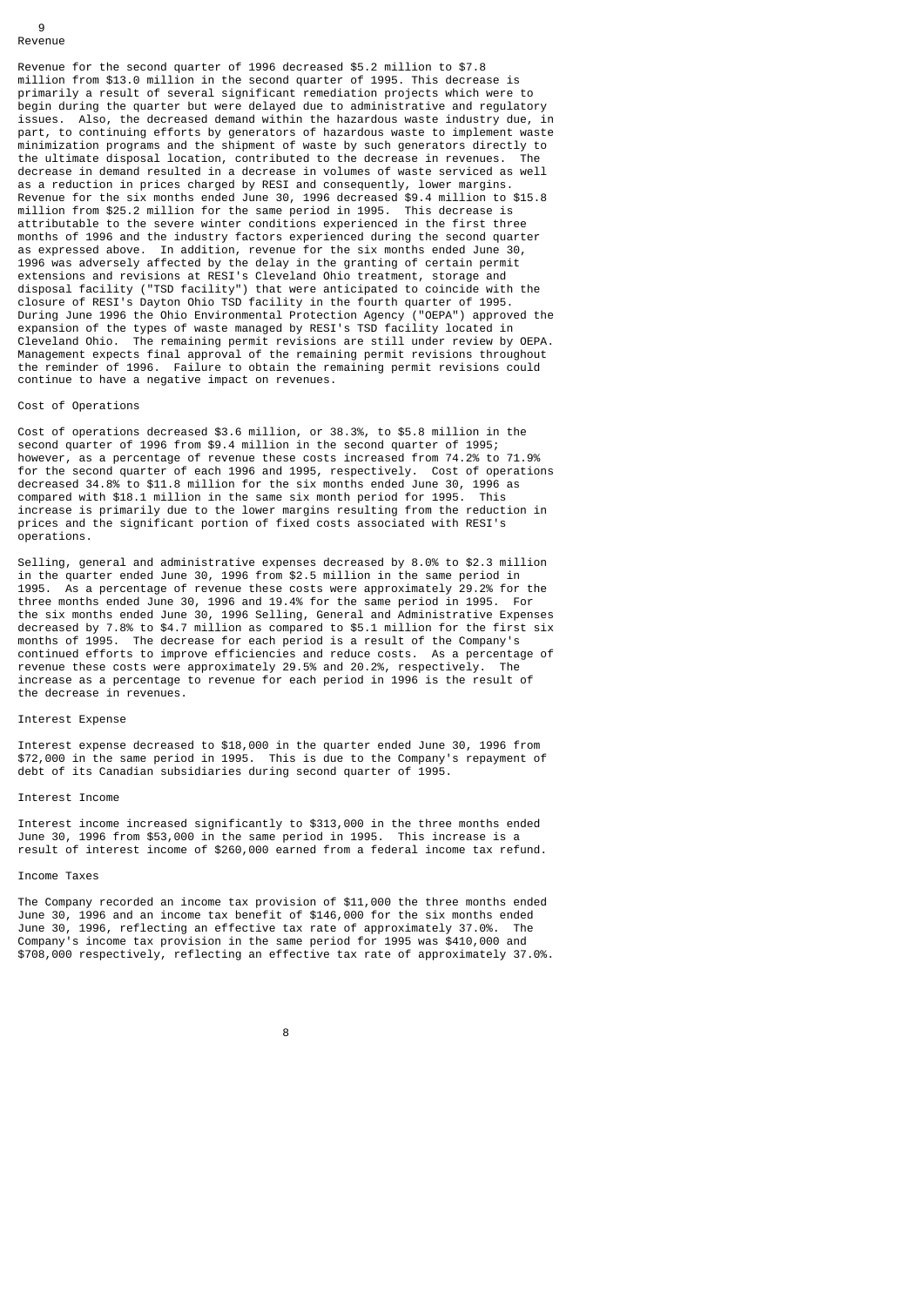#### $\alpha$ Revenue

Revenue for the second quarter of 1996 decreased \$5.2 million to \$7.8 million from \$13.0 million in the second quarter of 1995. This decrease is primarily a result of several significant remediation projects which were to begin during the quarter but were delayed due to administrative and regulatory issues. Also, the decreased demand within the hazardous waste industry due, in part, to continuing efforts by generators of hazardous waste to implement waste minimization programs and the shipment of waste by such generators directly to the ultimate disposal location, contributed to the decrease in revenues. The decrease in demand resulted in a decrease in volumes of waste serviced as well as a reduction in prices charged by RESI and consequently, lower margins. Revenue for the six months ended June 30, 1996 decreased \$9.4 million to \$15.8 million from \$25.2 million for the same period in 1995. This decrease is attributable to the severe winter conditions experienced in the first three months of 1996 and the industry factors experienced during the second quarter as expressed above. In addition, revenue for the six months ended June 30, 1996 was adversely affected by the delay in the granting of certain permit extensions and revisions at RESI's Cleveland Ohio treatment, storage and disposal facility ("TSD facility") that were anticipated to coincide with the closure of RESI's Dayton Ohio TSD facility in the fourth quarter of 1995. During June 1996 the Ohio Environmental Protection Agency ("OEPA") approved the expansion of the types of waste managed by RESI's TSD facility located in Cleveland Ohio. The remaining permit revisions are still under review by OEPA. Management expects final approval of the remaining permit revisions throughout the reminder of 1996. Failure to obtain the remaining permit revisions could continue to have a negative impact on revenues.

### Cost of Operations

Cost of operations decreased \$3.6 million, or 38.3%, to \$5.8 million in the second quarter of 1996 from \$9.4 million in the second quarter of 1995; however, as a percentage of revenue these costs increased from 74.2% to 71.9% for the second quarter of each 1996 and 1995, respectively. Cost of operations decreased 34.8% to \$11.8 million for the six months ended June 30, 1996 as<br>compared with \$18.1 million in the same six month period for 1995. This compared with  $$18.1$  million in the same six month period for 1995. increase is primarily due to the lower margins resulting from the reduction in prices and the significant portion of fixed costs associated with RESI's operations.

Selling, general and administrative expenses decreased by 8.0% to \$2.3 million in the quarter ended June 30, 1996 from \$2.5 million in the same period in 1995. As a percentage of revenue these costs were approximately 29.2% for the three months ended June 30, 1996 and 19.4% for the same period in 1995. For the six months ended June 30, 1996 Selling, General and Administrative Expenses decreased by 7.8% to \$4.7 million as compared to \$5.1 million for the first six months of 1995. The decrease for each period is a result of the Company's continued efforts to improve efficiencies and reduce costs. As a percentage of revenue these costs were approximately 29.5% and 20.2%, respectively. The increase as a percentage to revenue for each period in 1996 is the result of the decrease in revenues.

#### Interest Expense

Interest expense decreased to \$18,000 in the quarter ended June 30, 1996 from \$72,000 in the same period in 1995. This is due to the Company's repayment of debt of its Canadian subsidiaries during second quarter of 1995.

## Interest Income

Interest income increased significantly to \$313,000 in the three months ended June 30, 1996 from \$53,000 in the same period in 1995. This increase is a result of interest income of \$260,000 earned from a federal income tax refund.

## Income Taxes

The Company recorded an income tax provision of \$11,000 the three months ended June 30, 1996 and an income tax benefit of \$146,000 for the six months ended June 30, 1996, reflecting an effective tax rate of approximately 37.0%. The Company's income tax provision in the same period for 1995 was \$410,000 and \$708,000 respectively, reflecting an effective tax rate of approximately 37.0%.

#### 8 and 2012 and 2013 and 2014 and 2014 and 2014 and 2014 and 2014 and 2014 and 2014 and 2014 and 2014 and 2014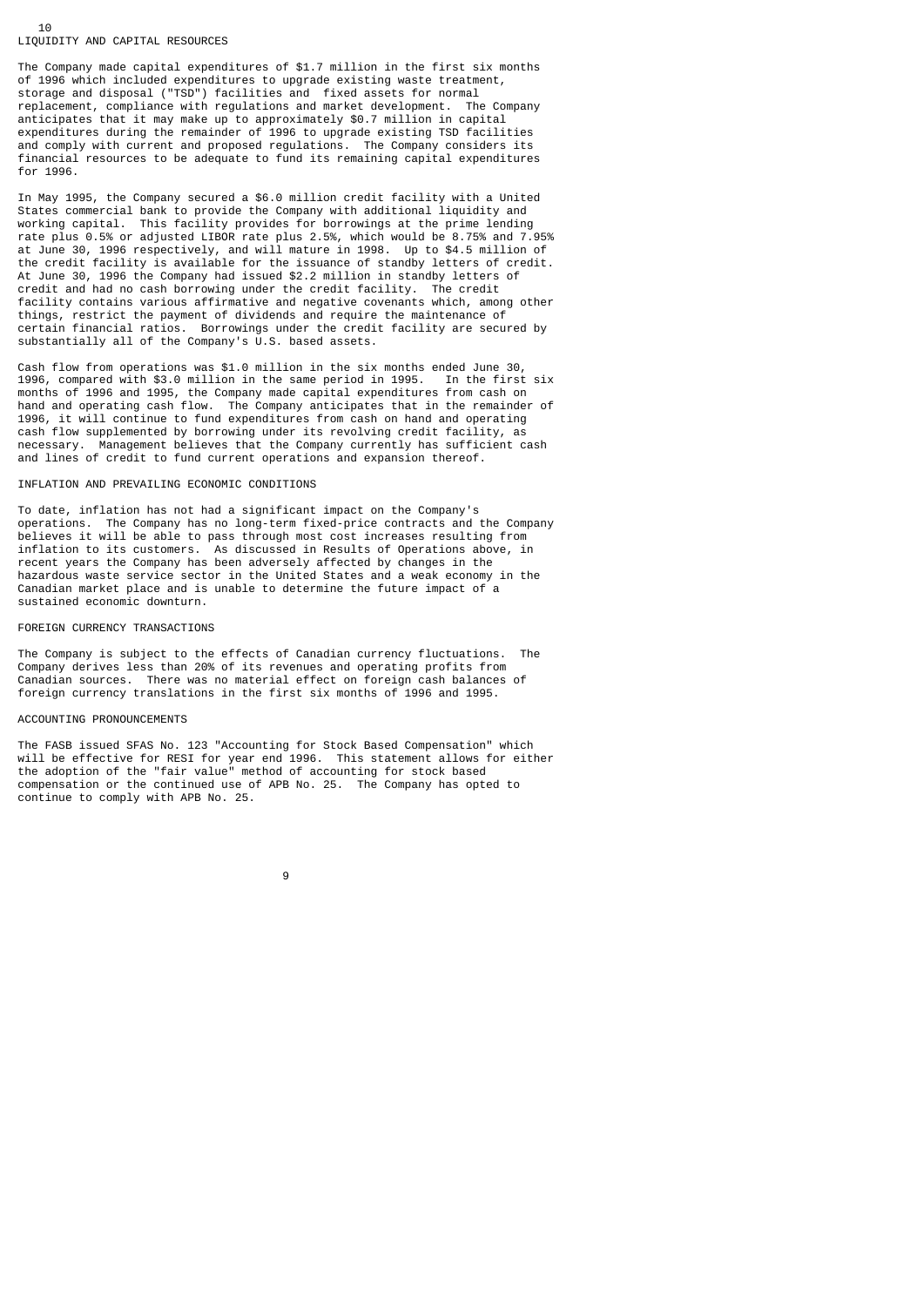## 10 LIQUIDITY AND CAPITAL RESOURCES

The Company made capital expenditures of \$1.7 million in the first six months of 1996 which included expenditures to upgrade existing waste treatment, storage and disposal ("TSD") facilities and fixed assets for normal replacement, compliance with regulations and market development. The Company anticipates that it may make up to approximately \$0.7 million in capital expenditures during the remainder of 1996 to upgrade existing TSD facilities and comply with current and proposed regulations. The Company considers its financial resources to be adequate to fund its remaining capital expenditures for 1996.

In May 1995, the Company secured a \$6.0 million credit facility with a United States commercial bank to provide the Company with additional liquidity and working capital. This facility provides for borrowings at the prime lending rate plus 0.5% or adjusted LIBOR rate plus 2.5%, which would be 8.75% and 7.95% at June 30, 1996 respectively, and will mature in 1998. Up to \$4.5 million of the credit facility is available for the issuance of standby letters of credit. At June 30, 1996 the Company had issued \$2.2 million in standby letters of credit and had no cash borrowing under the credit facility. The credit facility contains various affirmative and negative covenants which, among other things, restrict the payment of dividends and require the maintenance of certain financial ratios. Borrowings under the credit facility are secured by substantially all of the Company's U.S. based assets.

Cash flow from operations was \$1.0 million in the six months ended June 30, 1996, compared with \$3.0 million in the same period in 1995. In the first six months of 1996 and 1995, the Company made capital expenditures from cash on hand and operating cash flow. The Company anticipates that in the remainder of 1996, it will continue to fund expenditures from cash on hand and operating cash flow supplemented by borrowing under its revolving credit facility, as necessary. Management believes that the Company currently has sufficient cash and lines of credit to fund current operations and expansion thereof.

## INFLATION AND PREVAILING ECONOMIC CONDITIONS

To date, inflation has not had a significant impact on the Company's operations. The Company has no long-term fixed-price contracts and the Company believes it will be able to pass through most cost increases resulting from inflation to its customers. As discussed in Results of Operations above, in recent years the Company has been adversely affected by changes in the hazardous waste service sector in the United States and a weak economy in the Canadian market place and is unable to determine the future impact of a sustained economic downturn.

#### FOREIGN CURRENCY TRANSACTIONS

The Company is subject to the effects of Canadian currency fluctuations. The Company derives less than 20% of its revenues and operating profits from Canadian sources. There was no material effect on foreign cash balances of foreign currency translations in the first six months of 1996 and 1995.

## ACCOUNTING PRONOUNCEMENTS

9

The FASB issued SFAS No. 123 "Accounting for Stock Based Compensation" which will be effective for RESI for year end 1996. This statement allows for either the adoption of the "fair value" method of accounting for stock based compensation or the continued use of APB No. 25. The Company has opted to continue to comply with APB No. 25.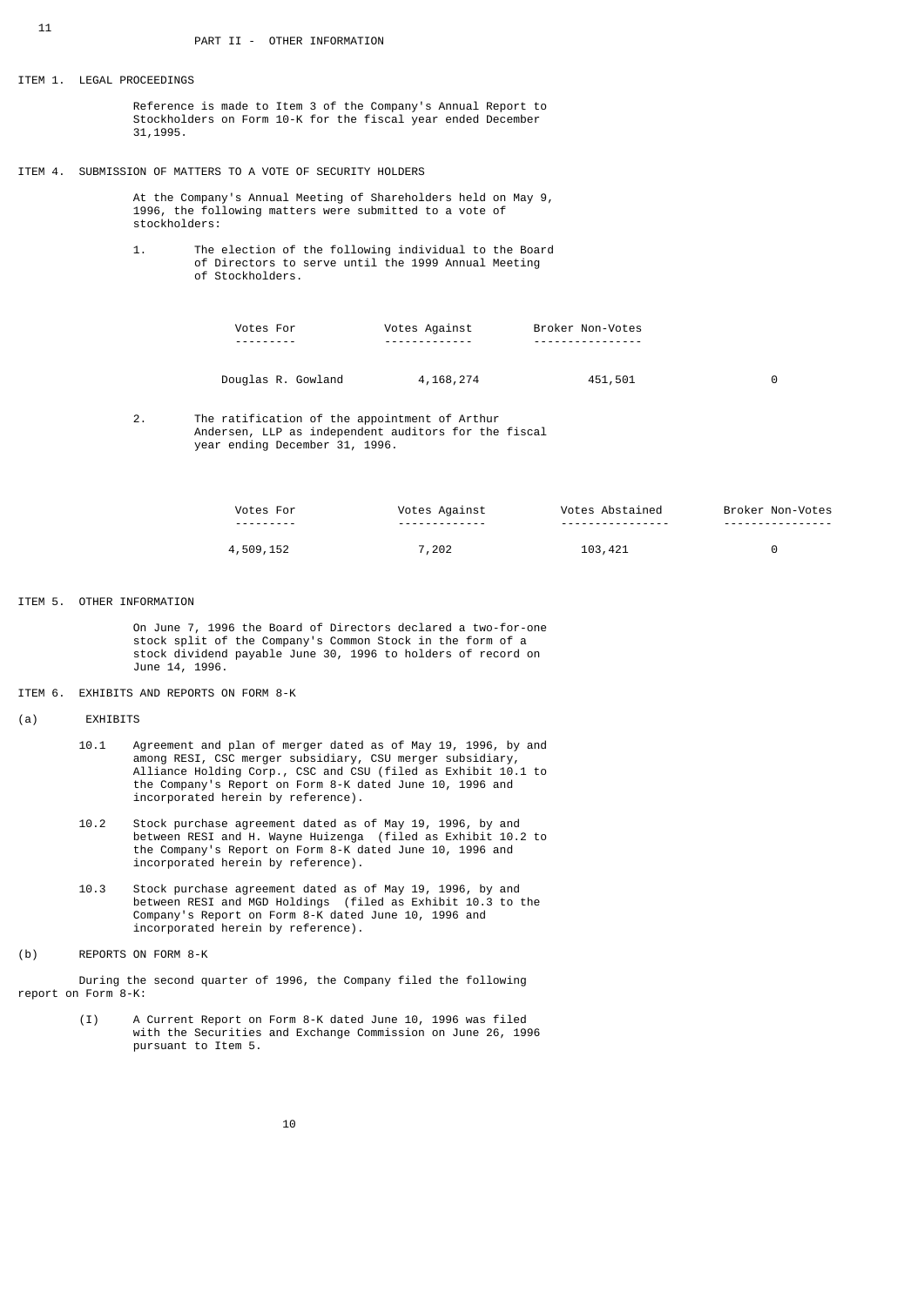| ITEM 1. LEGAL PROCEEDINGS |               |                                                             |                                                                                                                               |                  |   |
|---------------------------|---------------|-------------------------------------------------------------|-------------------------------------------------------------------------------------------------------------------------------|------------------|---|
|                           | 31, 1995.     |                                                             | Reference is made to Item 3 of the Company's Annual Report to<br>Stockholders on Form 10-K for the fiscal year ended December |                  |   |
|                           |               | ITEM 4. SUBMISSION OF MATTERS TO A VOTE OF SECURITY HOLDERS |                                                                                                                               |                  |   |
|                           | stockholders: |                                                             | At the Company's Annual Meeting of Shareholders held on May 9,<br>1996, the following matters were submitted to a vote of     |                  |   |
| 1.                        |               | of Stockholders.                                            | The election of the following individual to the Board<br>of Directors to serve until the 1999 Annual Meeting                  |                  |   |
|                           |               | Votes For                                                   | Votes Against                                                                                                                 | Broker Non-Votes |   |
|                           |               | Douglas R. Gowland                                          | 4,168,274                                                                                                                     | 451,501          | 0 |
|                           |               |                                                             |                                                                                                                               |                  |   |

 2. The ratification of the appointment of Arthur Andersen, LLP as independent auditors for the fiscal year ending December 31, 1996.

| For                           | Votes<br>Aqainst | votes<br>Abstained       | Broker<br>Non-Votes |
|-------------------------------|------------------|--------------------------|---------------------|
| ----------                    | -------------    | -----------------        | -----------------   |
| 509<br>15 <sup>o</sup><br>ᆂᇦᄼ | 202              | 103<br>$\sqrt{2}$<br>ᅮᅩᅩ |                     |

## ITEM 5. OTHER INFORMATION

 On June 7, 1996 the Board of Directors declared a two-for-one stock split of the Company's Common Stock in the form of a stock dividend payable June 30, 1996 to holders of record on June 14, 1996.

## ITEM 6. EXHIBITS AND REPORTS ON FORM 8-K

## (a) EXHIBITS

- 10.1 Agreement and plan of merger dated as of May 19, 1996, by and among RESI, CSC merger subsidiary, CSU merger subsidiary, Alliance Holding Corp., CSC and CSU (filed as Exhibit 10.1 to the Company's Report on Form 8-K dated June 10, 1996 and incorporated herein by reference).
- 10.2 Stock purchase agreement dated as of May 19, 1996, by and between RESI and H. Wayne Huizenga (filed as Exhibit 10.2 to the Company's Report on Form 8-K dated June 10, 1996 and incorporated herein by reference).
- 10.3 Stock purchase agreement dated as of May 19, 1996, by and between RESI and MGD Holdings (filed as Exhibit 10.3 to the Company's Report on Form 8-K dated June 10, 1996 and incorporated herein by reference).
- (b) REPORTS ON FORM 8-K

 During the second quarter of 1996, the Company filed the following report on Form 8-K:

> (I) A Current Report on Form 8-K dated June 10, 1996 was filed with the Securities and Exchange Commission on June 26, 1996 pursuant to Item 5.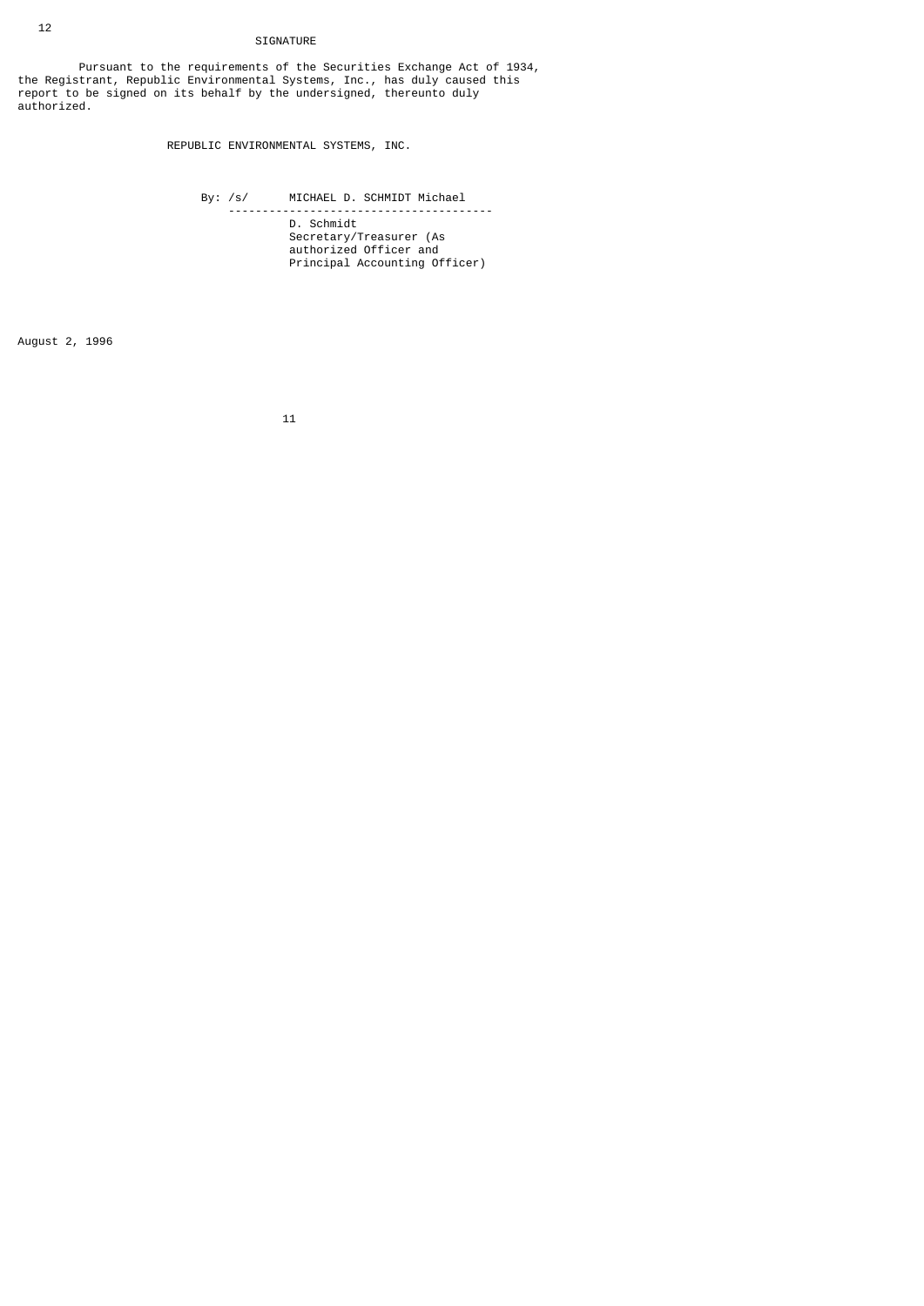# SIGNATURE

 Pursuant to the requirements of the Securities Exchange Act of 1934, the Registrant, Republic Environmental Systems, Inc., has duly caused this report to be signed on its behalf by the undersigned, thereunto duly authorized.

REPUBLIC ENVIRONMENTAL SYSTEMS, INC.

 By: /s/ MICHAEL D. SCHMIDT Michael --------------------------------------- D. Schmidt Secretary/Treasurer (As authorized Officer and Principal Accounting Officer)

August 2, 1996